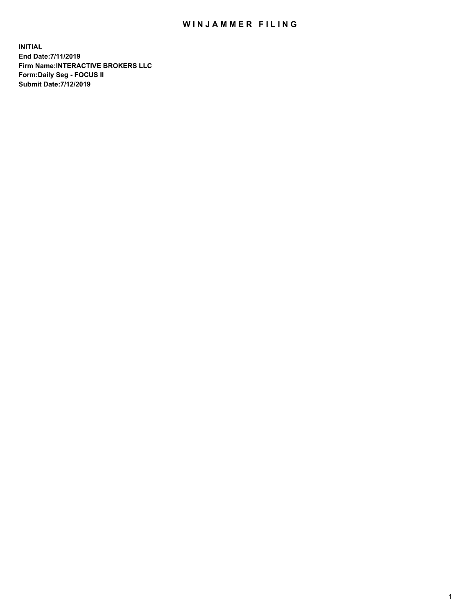## WIN JAMMER FILING

**INITIAL End Date:7/11/2019 Firm Name:INTERACTIVE BROKERS LLC Form:Daily Seg - FOCUS II Submit Date:7/12/2019**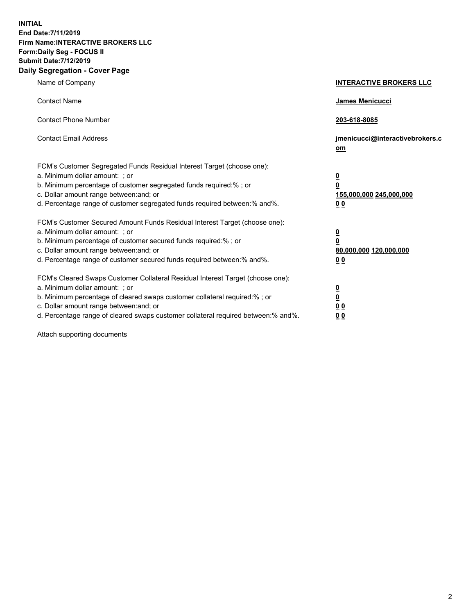**INITIAL End Date:7/11/2019 Firm Name:INTERACTIVE BROKERS LLC Form:Daily Seg - FOCUS II Submit Date:7/12/2019 Daily Segregation - Cover Page**

| Name of Company                                                                                                                                                                                                                                                                                                                | <b>INTERACTIVE BROKERS LLC</b>                                                                  |
|--------------------------------------------------------------------------------------------------------------------------------------------------------------------------------------------------------------------------------------------------------------------------------------------------------------------------------|-------------------------------------------------------------------------------------------------|
| <b>Contact Name</b>                                                                                                                                                                                                                                                                                                            | James Menicucci                                                                                 |
| <b>Contact Phone Number</b>                                                                                                                                                                                                                                                                                                    | 203-618-8085                                                                                    |
| <b>Contact Email Address</b>                                                                                                                                                                                                                                                                                                   | jmenicucci@interactivebrokers.c<br>om                                                           |
| FCM's Customer Segregated Funds Residual Interest Target (choose one):<br>a. Minimum dollar amount: ; or<br>b. Minimum percentage of customer segregated funds required:% ; or<br>c. Dollar amount range between: and; or<br>d. Percentage range of customer segregated funds required between:% and%.                         | $\overline{\mathbf{0}}$<br>$\overline{\mathbf{0}}$<br>155,000,000 245,000,000<br>0 <sub>0</sub> |
| FCM's Customer Secured Amount Funds Residual Interest Target (choose one):<br>a. Minimum dollar amount: ; or<br>b. Minimum percentage of customer secured funds required:% ; or<br>c. Dollar amount range between: and; or<br>d. Percentage range of customer secured funds required between:% and%.                           | $\overline{\mathbf{0}}$<br>0<br>80,000,000 120,000,000<br>0 <sub>0</sub>                        |
| FCM's Cleared Swaps Customer Collateral Residual Interest Target (choose one):<br>a. Minimum dollar amount: ; or<br>b. Minimum percentage of cleared swaps customer collateral required:% ; or<br>c. Dollar amount range between: and; or<br>d. Percentage range of cleared swaps customer collateral required between:% and%. | $\overline{\mathbf{0}}$<br><u>0</u><br>$\underline{0}$ $\underline{0}$<br>00                    |

Attach supporting documents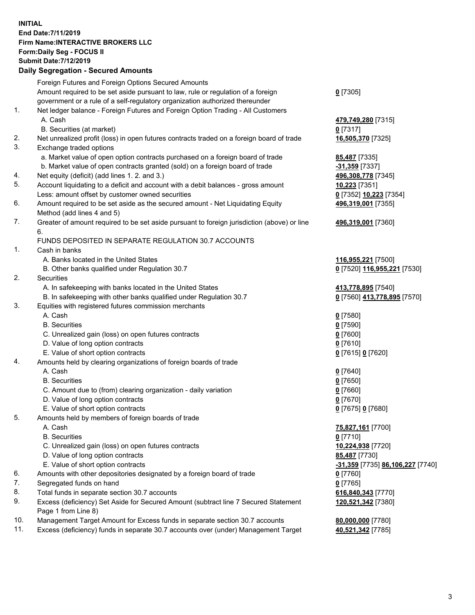## **INITIAL End Date:7/11/2019 Firm Name:INTERACTIVE BROKERS LLC Form:Daily Seg - FOCUS II Submit Date:7/12/2019 Daily Segregation - Secured Amounts**

|     | Daily Segregation - Secured Amounts                                                         |                                                      |
|-----|---------------------------------------------------------------------------------------------|------------------------------------------------------|
|     | Foreign Futures and Foreign Options Secured Amounts                                         |                                                      |
|     | Amount required to be set aside pursuant to law, rule or regulation of a foreign            | $0$ [7305]                                           |
|     | government or a rule of a self-regulatory organization authorized thereunder                |                                                      |
| 1.  | Net ledger balance - Foreign Futures and Foreign Option Trading - All Customers             |                                                      |
|     | A. Cash                                                                                     | 479,749,280 [7315]                                   |
|     | B. Securities (at market)                                                                   | $0$ [7317]                                           |
| 2.  | Net unrealized profit (loss) in open futures contracts traded on a foreign board of trade   | 16,505,370 [7325]                                    |
| 3.  | Exchange traded options                                                                     |                                                      |
|     | a. Market value of open option contracts purchased on a foreign board of trade              | 85,487 [7335]                                        |
|     | b. Market value of open contracts granted (sold) on a foreign board of trade                | -31,359 [7337]                                       |
| 4.  | Net equity (deficit) (add lines 1.2. and 3.)                                                | 496,308,778 [7345]                                   |
| 5.  | Account liquidating to a deficit and account with a debit balances - gross amount           | 10,223 [7351]                                        |
|     | Less: amount offset by customer owned securities                                            | 0 [7352] 10,223 [7354]                               |
| 6.  | Amount required to be set aside as the secured amount - Net Liquidating Equity              | 496,319,001 [7355]                                   |
|     | Method (add lines 4 and 5)                                                                  |                                                      |
| 7.  | Greater of amount required to be set aside pursuant to foreign jurisdiction (above) or line | 496,319,001 [7360]                                   |
|     | 6.                                                                                          |                                                      |
|     | FUNDS DEPOSITED IN SEPARATE REGULATION 30.7 ACCOUNTS                                        |                                                      |
| 1.  | Cash in banks                                                                               |                                                      |
|     | A. Banks located in the United States                                                       | 116,955,221 [7500]                                   |
|     | B. Other banks qualified under Regulation 30.7                                              | 0 [7520] 116,955,221 [7530]                          |
| 2.  | Securities                                                                                  |                                                      |
|     | A. In safekeeping with banks located in the United States                                   | 413,778,895 [7540]                                   |
|     | B. In safekeeping with other banks qualified under Regulation 30.7                          | 0 [7560] 413,778,895 [7570]                          |
| 3.  | Equities with registered futures commission merchants                                       |                                                      |
|     | A. Cash                                                                                     | $0$ [7580]                                           |
|     | <b>B.</b> Securities                                                                        | $0$ [7590]                                           |
|     | C. Unrealized gain (loss) on open futures contracts                                         | $0$ [7600]                                           |
|     | D. Value of long option contracts                                                           | $0$ [7610]                                           |
| 4.  | E. Value of short option contracts                                                          | 0 [7615] 0 [7620]                                    |
|     | Amounts held by clearing organizations of foreign boards of trade<br>A. Cash                |                                                      |
|     | <b>B.</b> Securities                                                                        | $0$ [7640]<br>$0$ [7650]                             |
|     | C. Amount due to (from) clearing organization - daily variation                             | $0$ [7660]                                           |
|     | D. Value of long option contracts                                                           | $0$ [7670]                                           |
|     | E. Value of short option contracts                                                          | 0 [7675] 0 [7680]                                    |
| 5.  | Amounts held by members of foreign boards of trade                                          |                                                      |
|     | A. Cash                                                                                     | 75,827,161 [7700]                                    |
|     | <b>B.</b> Securities                                                                        | $0$ [7710]                                           |
|     | C. Unrealized gain (loss) on open futures contracts                                         | 10,224,938 [7720]                                    |
|     | D. Value of long option contracts                                                           | 85,487 [7730]                                        |
|     | E. Value of short option contracts                                                          | <mark>-31,359</mark> [7735] <b>86,106,227</b> [7740] |
| 6.  | Amounts with other depositories designated by a foreign board of trade                      | 0 [7760]                                             |
| 7.  | Segregated funds on hand                                                                    | $0$ [7765]                                           |
| 8.  | Total funds in separate section 30.7 accounts                                               | 616,840,343 [7770]                                   |
| 9.  | Excess (deficiency) Set Aside for Secured Amount (subtract line 7 Secured Statement         | 120,521,342 [7380]                                   |
|     | Page 1 from Line 8)                                                                         |                                                      |
| 10. | Management Target Amount for Excess funds in separate section 30.7 accounts                 | 80,000,000 [7780]                                    |
| 11. | Excess (deficiency) funds in separate 30.7 accounts over (under) Management Target          | 40,521,342 [7785]                                    |
|     |                                                                                             |                                                      |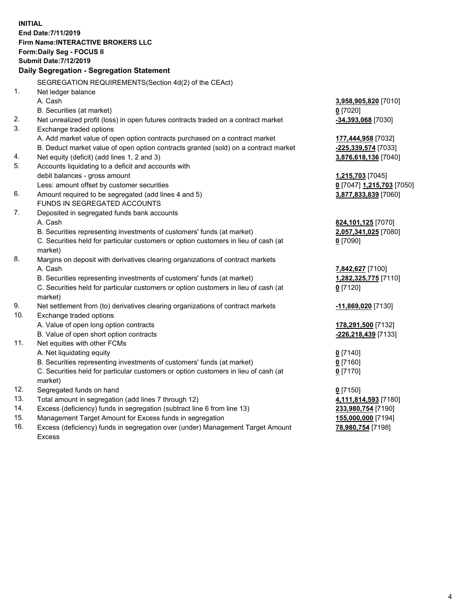**INITIAL End Date:7/11/2019 Firm Name:INTERACTIVE BROKERS LLC Form:Daily Seg - FOCUS II Submit Date:7/12/2019 Daily Segregation - Segregation Statement** SEGREGATION REQUIREMENTS(Section 4d(2) of the CEAct) 1. Net ledger balance A. Cash **3,958,905,820** [7010] B. Securities (at market) **0** [7020] 2. Net unrealized profit (loss) in open futures contracts traded on a contract market **-34,393,068** [7030] 3. Exchange traded options A. Add market value of open option contracts purchased on a contract market **177,444,958** [7032] B. Deduct market value of open option contracts granted (sold) on a contract market **-225,339,574** [7033] 4. Net equity (deficit) (add lines 1, 2 and 3) **3,876,618,136** [7040] 5. Accounts liquidating to a deficit and accounts with debit balances - gross amount **1,215,703** [7045] Less: amount offset by customer securities **0** [7047] **1,215,703** [7050] 6. Amount required to be segregated (add lines 4 and 5) **3,877,833,839** [7060] FUNDS IN SEGREGATED ACCOUNTS 7. Deposited in segregated funds bank accounts A. Cash **824,101,125** [7070] B. Securities representing investments of customers' funds (at market) **2,057,341,025** [7080] C. Securities held for particular customers or option customers in lieu of cash (at market) **0** [7090] 8. Margins on deposit with derivatives clearing organizations of contract markets A. Cash **7,842,627** [7100] B. Securities representing investments of customers' funds (at market) **1,282,325,775** [7110] C. Securities held for particular customers or option customers in lieu of cash (at market) **0** [7120] 9. Net settlement from (to) derivatives clearing organizations of contract markets **-11,869,020** [7130] 10. Exchange traded options A. Value of open long option contracts **178,291,500** [7132] B. Value of open short option contracts **-226,218,439** [7133] 11. Net equities with other FCMs A. Net liquidating equity **0** [7140] B. Securities representing investments of customers' funds (at market) **0** [7160] C. Securities held for particular customers or option customers in lieu of cash (at market) **0** [7170] 12. Segregated funds on hand **0** [7150] 13. Total amount in segregation (add lines 7 through 12) **4,111,814,593** [7180] 14. Excess (deficiency) funds in segregation (subtract line 6 from line 13) **233,980,754** [7190] 15. Management Target Amount for Excess funds in segregation **155,000,000** [7194]

16. Excess (deficiency) funds in segregation over (under) Management Target Amount Excess

**78,980,754** [7198]